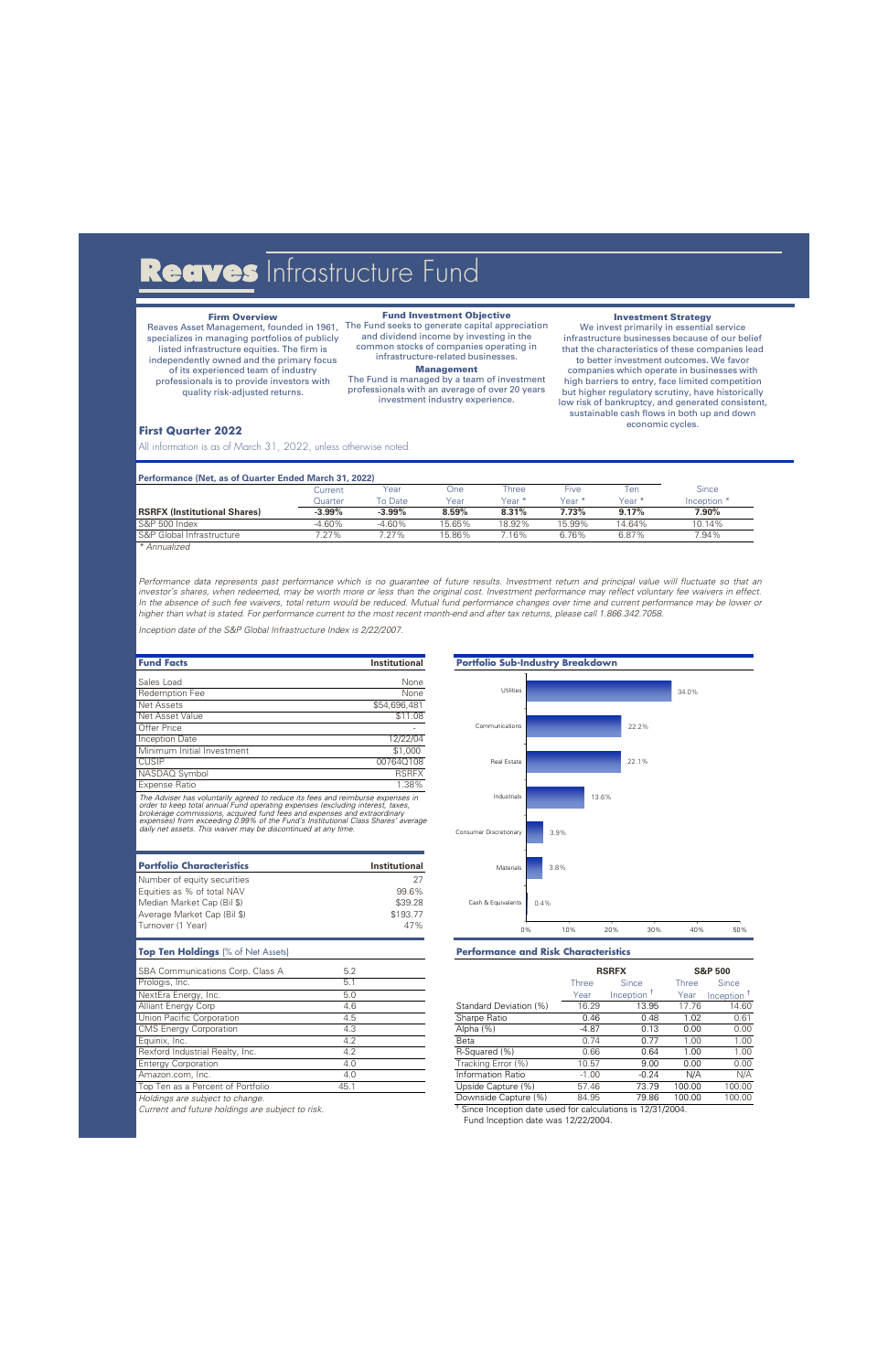# Reaves Infrastructure Fund

# **Firm Overview**

Reaves Asset Management, founded in 1961, specializes in managing portfolios of publicly listed infrastructure equities. The firm is independently owned and the primary focus of its experienced team of industry professionals is to provide investors with quality risk-adjusted returns.

# **Fund Investment Objective**

The Fund seeks to generate capital appreciation and dividend income by investing in the common stocks of companies operating in infrastructure-related businesses.

# **Management**

The Fund is managed by a team of investment professionals with an average of over 20 years investment industry experience.

### **Investment Strategy**

We invest primarily in essential service infrastructure businesses because of our belief that the characteristics of these companies lead to better investment outcomes. We favor companies which operate in businesses with high barriers to entry, face limited competition but higher regulatory scrutiny, have historically low risk of bankruptcy, and generated consistent, sustainable cash flows in both up and down economic cycles.

# **First Quarter 2022**

All information is as of March 31, 2022, unless otherwise noted.

## **Performance (Net, as of Quarter Ended March 31, 2022)**

|                                     | Current        | Year      | ⊃ne    | l hree          | Five     | len    | <b>Since</b>           |
|-------------------------------------|----------------|-----------|--------|-----------------|----------|--------|------------------------|
|                                     | <b>Quarter</b> | To Date   | Year   | Year *          | Year *   | Year * | Inception <sup>+</sup> |
| <b>RSRFX (Institutional Shares)</b> | $-3.99\%$      | $-3.99\%$ | 8.59%  | 8.31%           | $7.73\%$ | 9.17%  | 7.90%                  |
| S&P 500 Index                       | -4.60%         | $-4.60%$  | 15.65% | 18.92%          | 15.99%   | 4.64%  | 10.14%                 |
| S&P Global Infrastructure           | $1.27\%$       | $27\%$    | 15.86% | $^{\prime}$ 16% | 6.76%    | 6.87%  | 7.94%                  |
|                                     |                |           |        |                 |          |        |                        |

*\* Annualized*

*Performance data represents past performance which is no guarantee of future results. Investment return and principal value will fluctuate so that an investor's shares, when redeemed, may be worth more or less than the original cost. Investment performance may reflect voluntary fee waivers in effect. In the absence of such fee waivers, total return would be reduced. Mutual fund performance changes over time and current performance may be lower or higher than what is stated. For performance current to the most recent month-end and after tax returns, please call 1.866.342.7058.*

*Inception date of the S&P Global Infrastructure Index is 2/22/2007.*

| <b>Fund Facts</b>          | <b>Institutional</b> |
|----------------------------|----------------------|
|                            |                      |
| Sales Load                 | None                 |
| Redemption Fee             | None                 |
| <b>Net Assets</b>          | \$54,696,481         |
| Net Asset Value            | \$11.08              |
| <b>Offer Price</b>         |                      |
| <b>Inception Date</b>      | 12/22/04             |
| Minimum Initial Investment | \$1,000              |
| <b>CUSIP</b>               | 00764Q108            |
| NASDAQ Symbol              | <b>RSRFX</b>         |
| <b>Expense Ratio</b>       | 1.38%                |

The Adviser has voluntarily agreed to reduce its fees and reimburse expenses in<br>order to keep total annual Fund operating expenses (excluding interest, taxes,<br>brokerage commissions, acquired fund fees and expenses and extr *expenses) from exceeding 0.99% of the Fund's Institutional Class Shares' average daily net assets. This waiver may be discontinued at any time.*

| <b>Portfolio Characteristics</b> | <b>Institutional</b> |
|----------------------------------|----------------------|
| Number of equity securities      | 27                   |
| Equities as % of total NAV       | 99.6%                |
| Median Market Cap (Bil \$)       | \$39.28              |
| Average Market Cap (Bil \$)      | \$193.77             |
| Turnover (1 Year)                | 47%                  |

| SBA Communications Corp. Class A  | 5.2  |                        |         | <b>RSRFX</b> | <b>S&amp;P 500</b> |          |  |
|-----------------------------------|------|------------------------|---------|--------------|--------------------|----------|--|
| Prologis, Inc.                    | 5.1  |                        | Three   | Since        | Three              | Since    |  |
| NextEra Energy, Inc.              | 5.0  |                        | Year    | Inception    | Year               | Inceptio |  |
| Alliant Energy Corp               | 4.6  | Standard Deviation (%) | 16.29   | 13.95        | 17.76              | 14       |  |
| Union Pacific Corporation         | 4.5  | Sharpe Ratio           | 0.46    | 0.48         | 1.02               | 0        |  |
| <b>CMS Energy Corporation</b>     | 4.3  | Alpha (%)              | $-4.87$ | 0.13         | 0.00               | 0        |  |
| Equinix, Inc.                     | 4.2  | Beta                   | 0.74    | 0.77         | 1.00               |          |  |
| Rexford Industrial Realty, Inc.   | 4.2  | R-Squared (%)          | 0.66    | 0.64         | 1.00               |          |  |
| Entergy Corporation               | 4.0  | Tracking Error (%)     | 10.57   | 9.00         | 0.00               | O        |  |
| Amazon.com, Inc.                  | 4.0  | Information Ratio      | $-1.00$ | $-0.24$      | N/A                |          |  |
| Top Ten as a Percent of Portfolio | 45.1 | Unside Canture (%)     | 57.46   | 73.79        | 100.00             | 100      |  |

*Current and future holdings are subject to risk.* †



# **Top Ten Holdings** (% of Net Assets) **Performance and Risk Characteristics**

| SBA Communications Corp. Class A  | 5.2  |                        | <b>RSRFX</b> |           | <b>S&amp;P 500</b> |                        |
|-----------------------------------|------|------------------------|--------------|-----------|--------------------|------------------------|
| Prologis, Inc.                    | 5.1  |                        | Three        | Since     | Three              | <b>Since</b>           |
| NextEra Energy, Inc.              | 5.0  |                        | Year         | Inception | Year               | Inception <sup>1</sup> |
| <b>Alliant Energy Corp</b>        | 4.6  | Standard Deviation (%) | 16.29        | 13.95     | 17.76              | 14.60                  |
| Union Pacific Corporation         | 4.5  | Sharpe Ratio           | 0.46         | 0.48      | 1.02               | 0.61                   |
| <b>CMS Energy Corporation</b>     | 4.3  | Alpha (%)              | $-4.87$      | 0.13      | 0.00               | 0.00                   |
| Equinix, Inc.                     | 4.2  | Beta                   | 0.74         | 0.77      | 1.00               | 1.00                   |
| Rexford Industrial Realty, Inc.   | 4.2  | R-Squared (%)          | 0.66         | 0.64      | 1.00               | 1.00                   |
| <b>Entergy Corporation</b>        | 4.0  | Tracking Error (%)     | 10.57        | 9.00      | 0.00               | 0.00                   |
| Amazon.com, Inc.                  | 4.0  | Information Ratio      | $-1.00$      | $-0.24$   | N/A                | N/A                    |
| Top Ten as a Percent of Portfolio | 45.1 | Upside Capture (%)     | 57.46        | 73.79     | 100.00             | 100.00                 |
| Holdings are subject to change.   |      | Downside Capture (%)   | 84.95        | 79.86     | 100.00             | 100.00                 |

<sup>T</sup> Since Inception date used for calculations is 12/31/2004.

Fund Inception date was 12/22/2004.